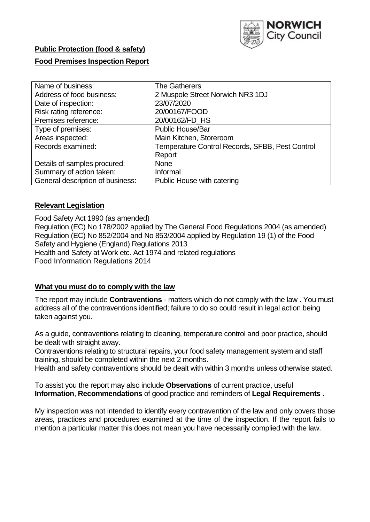

## **Public Protection (food & safety)**

## **Food Premises Inspection Report**

| Name of business:                | <b>The Gatherers</b>                            |
|----------------------------------|-------------------------------------------------|
| Address of food business:        | 2 Muspole Street Norwich NR3 1DJ                |
| Date of inspection:              | 23/07/2020                                      |
| Risk rating reference:           | 20/00167/FOOD                                   |
| Premises reference:              | 20/00162/FD_HS                                  |
| Type of premises:                | <b>Public House/Bar</b>                         |
| Areas inspected:                 | Main Kitchen, Storeroom                         |
| Records examined:                | Temperature Control Records, SFBB, Pest Control |
|                                  | Report                                          |
| Details of samples procured:     | <b>None</b>                                     |
| Summary of action taken:         | Informal                                        |
| General description of business: | Public House with catering                      |

### **Relevant Legislation**

 Food Safety Act 1990 (as amended) Regulation (EC) No 178/2002 applied by The General Food Regulations 2004 (as amended) Regulation (EC) No 852/2004 and No 853/2004 applied by Regulation 19 (1) of the Food Safety and Hygiene (England) Regulations 2013 Health and Safety at Work etc. Act 1974 and related regulations Food Information Regulations 2014

## **What you must do to comply with the law**

 The report may include **Contraventions** - matters which do not comply with the law . You must address all of the contraventions identified; failure to do so could result in legal action being taken against you.

 As a guide, contraventions relating to cleaning, temperature control and poor practice, should be dealt with straight away.

 Contraventions relating to structural repairs, your food safety management system and staff training, should be completed within the next 2 months.

Health and safety contraventions should be dealt with within 3 months unless otherwise stated.

 To assist you the report may also include **Observations** of current practice, useful **Information**, **Recommendations** of good practice and reminders of **Legal Requirements .** 

 My inspection was not intended to identify every contravention of the law and only covers those areas, practices and procedures examined at the time of the inspection. If the report fails to mention a particular matter this does not mean you have necessarily complied with the law.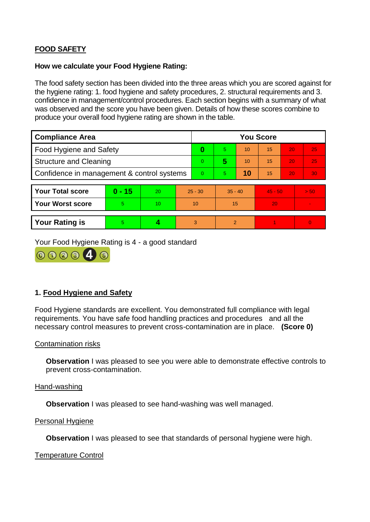# **FOOD SAFETY**

### **How we calculate your Food Hygiene Rating:**

 The food safety section has been divided into the three areas which you are scored against for the hygiene rating: 1. food hygiene and safety procedures, 2. structural requirements and 3. confidence in management/control procedures. Each section begins with a summary of what was observed and the score you have been given. Details of how these scores combine to produce your overall food hygiene rating are shown in the table.

| <b>Compliance Area</b>                     |          |    |                | <b>You Score</b> |                |    |           |    |                |  |  |
|--------------------------------------------|----------|----|----------------|------------------|----------------|----|-----------|----|----------------|--|--|
| Food Hygiene and Safety                    |          |    | 0              | 5                | 10             | 15 | 20        | 25 |                |  |  |
| <b>Structure and Cleaning</b>              |          |    | $\overline{0}$ | 5                | 10             | 15 | 20        | 25 |                |  |  |
| Confidence in management & control systems |          |    | $\Omega$       | $\overline{5}$   | 10             | 15 | 20        | 30 |                |  |  |
|                                            |          |    |                |                  |                |    |           |    |                |  |  |
| <b>Your Total score</b>                    | $0 - 15$ | 20 | $25 - 30$      |                  | $35 - 40$      |    | $45 - 50$ |    | > 50           |  |  |
| <b>Your Worst score</b>                    | 5        | 10 | 10             |                  | 15             |    | 20        |    | $\blacksquare$ |  |  |
|                                            |          |    |                |                  |                |    |           |    |                |  |  |
| <b>Your Rating is</b>                      | 5        |    |                | 3                | $\overline{2}$ |    |           |    | $\Omega$       |  |  |

Your Food Hygiene Rating is 4 - a good standard



# **1. Food Hygiene and Safety**

 requirements. You have safe food handling practices and procedures and all the Food Hygiene standards are excellent. You demonstrated full compliance with legal necessary control measures to prevent cross-contamination are in place. **(Score 0)** 

#### Contamination risks

**Observation** I was pleased to see you were able to demonstrate effective controls to prevent cross-contamination.

#### Hand-washing

**Observation** I was pleased to see hand-washing was well managed.

#### Personal Hygiene

**Observation** I was pleased to see that standards of personal hygiene were high.

#### Temperature Control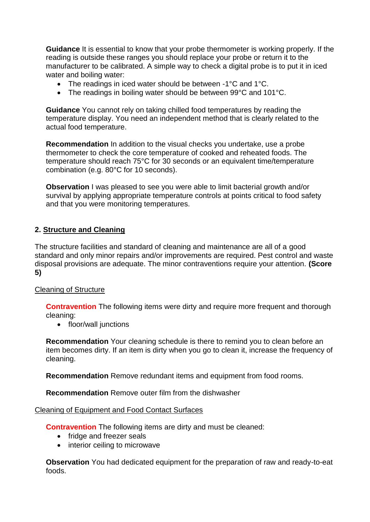**Guidance** It is essential to know that your probe thermometer is working properly. If the reading is outside these ranges you should replace your probe or return it to the manufacturer to be calibrated. A simple way to check a digital probe is to put it in iced water and boiling water:

- The readings in iced water should be between -1°C and 1°C.
- The readings in boiling water should be between 99°C and 101°C.

 temperature display. You need an independent method that is clearly related to the **Guidance** You cannot rely on taking chilled food temperatures by reading the actual food temperature.

 thermometer to check the core temperature of cooked and reheated foods. The **Recommendation** In addition to the visual checks you undertake, use a probe temperature should reach 75°C for 30 seconds or an equivalent time/temperature combination (e.g. 80°C for 10 seconds).

 survival by applying appropriate temperature controls at points critical to food safety **Observation I** was pleased to see you were able to limit bacterial growth and/or and that you were monitoring temperatures.

## **2. Structure and Cleaning**

The structure facilities and standard of cleaning and maintenance are all of a good standard and only minor repairs and/or improvements are required. Pest control and waste disposal provisions are adequate. The minor contraventions require your attention. **(Score 5)** 

## Cleaning of Structure

**Contravention** The following items were dirty and require more frequent and thorough cleaning:

• floor/wall junctions

 **Recommendation** Your cleaning schedule is there to remind you to clean before an item becomes dirty. If an item is dirty when you go to clean it, increase the frequency of cleaning.

**Recommendation** Remove redundant items and equipment from food rooms.

**Recommendation** Remove outer film from the dishwasher

#### Cleaning of Equipment and Food Contact Surfaces

**Contravention** The following items are dirty and must be cleaned:

- fridge and freezer seals
- interior ceiling to microwave

 **Observation** You had dedicated equipment for the preparation of raw and ready-to-eat foods.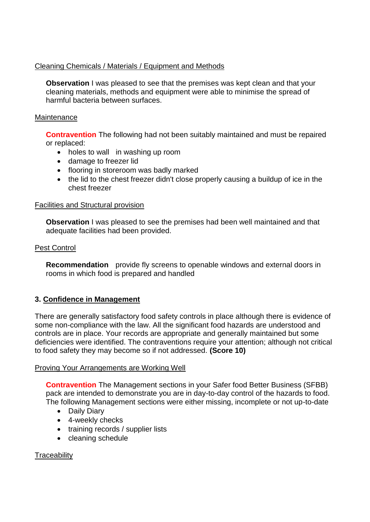## Cleaning Chemicals / Materials / Equipment and Methods

 cleaning materials, methods and equipment were able to minimise the spread of **Observation** I was pleased to see that the premises was kept clean and that your harmful bacteria between surfaces.

## **Maintenance**

**Contravention** The following had not been suitably maintained and must be repaired or replaced:

- holes to wall in washing up room
- damage to freezer lid
- flooring in storeroom was badly marked
- the lid to the chest freezer didn't close properly causing a buildup of ice in the chest freezer

## Facilities and Structural provision

 **Observation** I was pleased to see the premises had been well maintained and that adequate facilities had been provided.

## Pest Control

**Recommendation** provide fly screens to openable windows and external doors in rooms in which food is prepared and handled

# **3. Confidence in Management**

There are generally satisfactory food safety controls in place although there is evidence of some non-compliance with the law. All the significant food hazards are understood and controls are in place. Your records are appropriate and generally maintained but some deficiencies were identified. The contraventions require your attention; although not critical to food safety they may become so if not addressed. **(Score 10)** 

## Proving Your Arrangements are Working Well

 pack are intended to demonstrate you are in day-to-day control of the hazards to food. **Contravention** The Management sections in your Safer food Better Business (SFBB) The following Management sections were either missing, incomplete or not up-to-date

- Daily Diary
- 4-weekly checks
- training records / supplier lists
- cleaning schedule

# **Traceability**